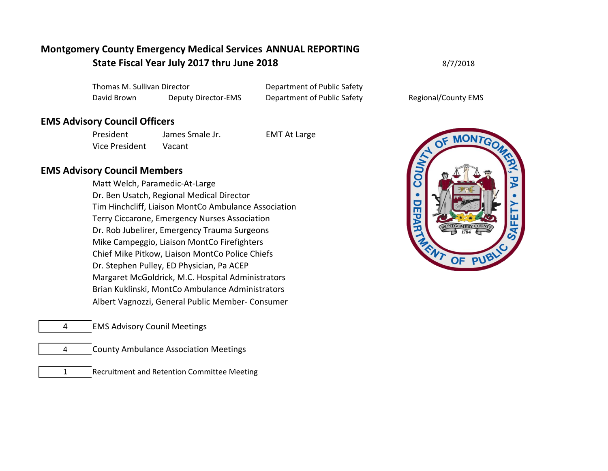# **Montgomery County Emergency Medical Services ANNUAL REPORTING State Fiscal Year July 2017 thru June 2018** 8/7/2018

Thomas M. Sullivan Director **Department of Public Safety** David Brown Deputy Director-EMS Department of Public Safety Regional/County EMS

## **EMS Advisory Council Officers**

President James Smale Jr. EMT At Large Vice President Vacant

#### **EMS Advisory Council Members**

Matt Welch, Paramedic-At-Large Dr. Ben Usatch, Regional Medical Director Tim Hinchcliff, Liaison MontCo Ambulance Association Terry Ciccarone, Emergency Nurses Association Dr. Rob Jubelirer, Emergency Trauma Surgeons Mike Campeggio, Liaison MontCo Firefighters Chief Mike Pitkow, Liaison MontCo Police Chiefs Dr. Stephen Pulley, ED Physician, Pa ACEP Margaret McGoldrick, M.C. Hospital Administrators Brian Kuklinski, MontCo Ambulance Administrators Albert Vagnozzi, General Public Member- Consumer

- 4 EMS Advisory Counil Meetings
	- 4 County Ambulance Association Meetings
	- 1 Recruitment and Retention Committee Meeting



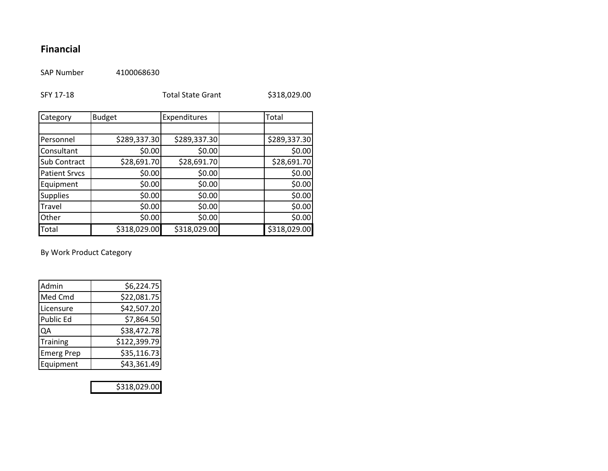# **Financial**

SAP Number 4100068630

| SFY 17-18            |               | <b>Total State Grant</b> |  | \$318,029.00 |
|----------------------|---------------|--------------------------|--|--------------|
| Category             | <b>Budget</b> | Expenditures             |  | Total        |
|                      |               |                          |  |              |
| Personnel            | \$289,337.30  | \$289,337.30             |  | \$289,337.30 |
| Consultant           | \$0.00        | \$0.00                   |  | \$0.00       |
| <b>Sub Contract</b>  | \$28,691.70   | \$28,691.70              |  | \$28,691.70  |
| <b>Patient Srvcs</b> | \$0.00        | \$0.00                   |  | \$0.00       |
| Equipment            | \$0.00        | \$0.00                   |  | \$0.00       |
| <b>Supplies</b>      | \$0.00        | \$0.00                   |  | \$0.00       |
| <b>Travel</b>        | \$0.00        | \$0.00                   |  | \$0.00       |
| Other                | \$0.00        | \$0.00                   |  | \$0.00       |
| Total                | \$318,029.00  | \$318,029.00             |  | \$318,029.00 |

By Work Product Category

| Admin             | \$6,224.75   |
|-------------------|--------------|
| Med Cmd           | \$22,081.75  |
| Licensure         | \$42,507.20  |
| Public Ed         | \$7,864.50   |
| QA                | \$38,472.78  |
| Training          | \$122,399.79 |
| <b>Emerg Prep</b> | \$35,116.73  |
| Equipment         | \$43,361.49  |

\$318,029.00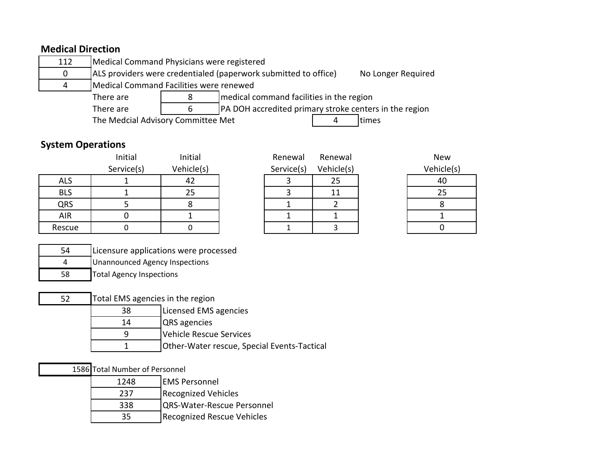# **Medical Direction**

| 112                                                                             | Medical Command Physicians were registered            |                                                                                       |  |  |
|---------------------------------------------------------------------------------|-------------------------------------------------------|---------------------------------------------------------------------------------------|--|--|
| 0                                                                               |                                                       | ALS providers were credentialed (paperwork submitted to office)<br>No Longer Required |  |  |
| 4                                                                               |                                                       | Medical Command Facilities were renewed                                               |  |  |
|                                                                                 | medical command facilities in the region<br>There are |                                                                                       |  |  |
| <b>PA DOH</b> accredited primary stroke centers in the region<br>There are<br>6 |                                                       |                                                                                       |  |  |

The Medcial Advisory Committee Met 4 times

# **System Operations**

|            | Initial    | Initial    | Renewal    | Renewal    | <b>New</b> |
|------------|------------|------------|------------|------------|------------|
|            | Service(s) | Vehicle(s) | Service(s) | Vehicle(s) | Vehicle(s) |
| <b>ALS</b> |            | 42         |            | 25         | 40         |
| <b>BLS</b> |            | 25         |            |            | 25         |
| QRS        |            |            |            |            |            |
| AIR        |            |            |            |            |            |
| Rescue     |            |            |            |            |            |

| Renewal    | Renewal    |
|------------|------------|
| Service(s) | Vehicle(s) |
| 3          | 25         |
| 3          | 11         |
| 1          | 2          |
|            |            |
|            |            |

| New        |  |
|------------|--|
| Vehicle(s) |  |
| 40         |  |
| 25         |  |
| 8          |  |
| 1          |  |
|            |  |

| 54 | Licensure applications were processed |
|----|---------------------------------------|
|    | Unannounced Agency Inspections        |

- 58 Total Agency Inspections
- 52 Total EMS agencies in the region
	- 38 Licensed EMS agencies
	- 14 QRS agencies
	- 9 Vehicle Rescue Services
	- 1 Other-Water rescue, Special Events-Tactical

### 1586 Total Number of Personnel

| 1248 | <b>EMS Personnel</b>       |
|------|----------------------------|
|      |                            |
| 237  | <b>Recognized Vehicles</b> |
| 338  | QRS-Water-Rescue Personnel |
| 35   | Recognized Rescue Vehicles |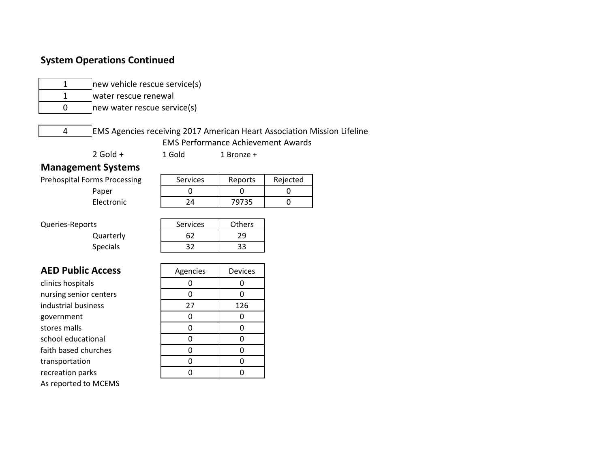## **System Operations Continued**

| L |  |
|---|--|

new vehicle rescue service(s) water rescue renewal

new water rescue service(s)

4 EMS Agencies receiving 2017 American Heart Association Mission Lifeline EMS Performance Achievement Awards

2 Gold + 1 Gold 1 Bronze +

#### **Management Systems**

Prehospital Forms Processing

| ms Processing | <b>Services</b> | Reports | Rejected |
|---------------|-----------------|---------|----------|
| Paper         |                 |         |          |
| Electronic    | 7Δ              | 79735   |          |

Queries-Reports **Services** Services **Others** 

Quarterly 62 29 Specials 1 32 33

| $-$ | $\sim$ $\sim$ | $\sim$ |  |  |
|-----|---------------|--------|--|--|
|     |               |        |  |  |
|     |               |        |  |  |
|     |               |        |  |  |

### **AED Public Access**

clinics hospitals nursing senior centers industrial business government stores malls school educational faith based churches transportation recreation parks As reported to MCEMS

| Agencies | Devices |
|----------|---------|
| 0        | 0       |
| 0        | 0       |
| 27       | 126     |
| 0        | 0       |
| 0        | 0       |
| ი        | 0       |
| ი        | 0       |
| n        | ი       |
|          |         |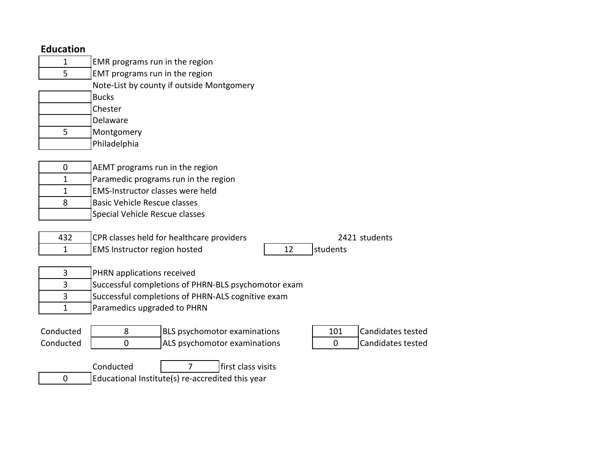| $\mathbf{1}$ | EMR programs run in the region                                              |  |  |
|--------------|-----------------------------------------------------------------------------|--|--|
| 5            | EMT programs run in the region                                              |  |  |
|              | Note-List by county if outside Montgomery                                   |  |  |
|              | <b>Bucks</b>                                                                |  |  |
|              | Chester                                                                     |  |  |
|              | Delaware                                                                    |  |  |
| 5            | Montgomery                                                                  |  |  |
|              | Philadelphia                                                                |  |  |
|              |                                                                             |  |  |
| $\mathbf 0$  | AEMT programs run in the region                                             |  |  |
| 1            | Paramedic programs run in the region                                        |  |  |
| $\mathbf{1}$ | EMS-Instructor classes were held                                            |  |  |
| 8            | <b>Basic Vehicle Rescue classes</b>                                         |  |  |
|              | Special Vehicle Rescue classes                                              |  |  |
|              |                                                                             |  |  |
| 432          | CPR classes held for healthcare providers<br>2421 students                  |  |  |
| $\mathbf{1}$ | students<br>EMS Instructor region hosted<br>12                              |  |  |
|              |                                                                             |  |  |
| 3            | PHRN applications received                                                  |  |  |
| 3            | Successful completions of PHRN-BLS psychomotor exam                         |  |  |
| 3            | Successful completions of PHRN-ALS cognitive exam                           |  |  |
| 1            | Paramedics upgraded to PHRN                                                 |  |  |
|              |                                                                             |  |  |
| Conducted    | <b>Candidates tested</b><br>8<br><b>BLS</b> psychomotor examinations<br>101 |  |  |
| Conducted    | 0<br>ALS psychomotor examinations<br>Candidates tested<br>$\Omega$          |  |  |
|              |                                                                             |  |  |
|              | Conducted<br>first class visits<br>$\overline{7}$                           |  |  |
|              |                                                                             |  |  |

0 **Educational Institute(s) re-accredited this year**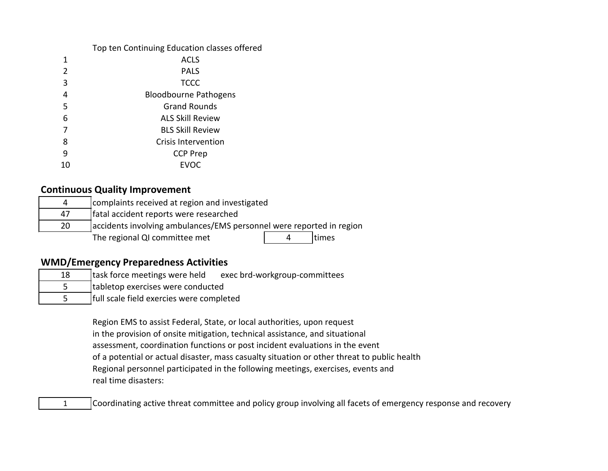#### Top ten Continuing Education classes offered

|                | <b>ACLS</b>                  |
|----------------|------------------------------|
| $\overline{2}$ | <b>PALS</b>                  |
| 3              | <b>TCCC</b>                  |
| 4              | <b>Bloodbourne Pathogens</b> |
| 5              | <b>Grand Rounds</b>          |
| 6              | <b>ALS Skill Review</b>      |
| 7              | <b>BLS Skill Review</b>      |
| 8              | <b>Crisis Intervention</b>   |
| 9              | <b>CCP Prep</b>              |
| 10             | EVOC                         |

### **Continuous Quality Improvement**

| 4  | complaints received at region and investigated                       |  |        |  |
|----|----------------------------------------------------------------------|--|--------|--|
| 47 | fatal accident reports were researched                               |  |        |  |
| 20 | accidents involving ambulances/EMS personnel were reported in region |  |        |  |
|    | The regional QI committee met                                        |  | Itimes |  |

## **WMD/Emergency Preparedness Activities**

| 18 | task force meetings were held            | exec brd-workgroup-committees |  |
|----|------------------------------------------|-------------------------------|--|
|    | tabletop exercises were conducted        |                               |  |
|    | full scale field exercies were completed |                               |  |

Region EMS to assist Federal, State, or local authorities, upon request in the provision of onsite mitigation, technical assistance, and situational assessment, coordination functions or post incident evaluations in the event of a potential or actual disaster, mass casualty situation or other threat to public health Regional personnel participated in the following meetings, exercises, events and real time disasters:

1 Coordinating active threat committee and policy group involving all facets of emergency response and recovery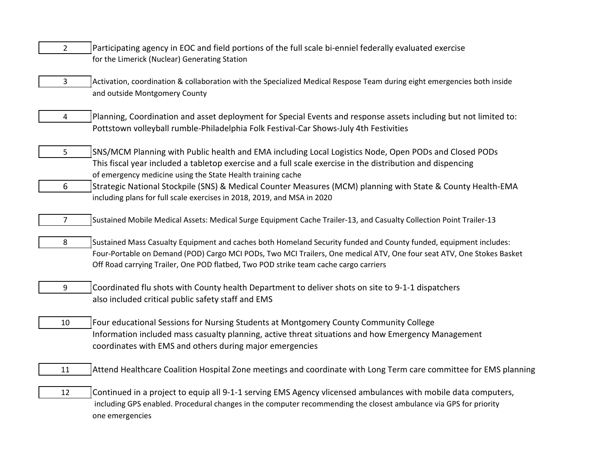- 2 Participating agency in EOC and field portions of the full scale bi-enniel federally evaluated exercise for the Limerick (Nuclear) Generating Station
- 3 Activation, coordination & collaboration with the Specialized Medical Respose Team during eight emergencies both inside and outside Montgomery County
- 4 Planning, Coordination and asset deployment for Special Events and response assets including but not limited to: Pottstown volleyball rumble-Philadelphia Folk Festival-Car Shows-July 4th Festivities
- 5 SNS/MCM Planning with Public health and EMA including Local Logistics Node, Open PODs and Closed PODs This fiscal year included a tabletop exercise and a full scale exercise in the distribution and dispencing of emergency medicine using the State Health training cache
- 6 Strategic National Stockpile (SNS) & Medical Counter Measures (MCM) planning with State & County Health-EMA including plans for full scale exercises in 2018, 2019, and MSA in 2020
- 7 Sustained Mobile Medical Assets: Medical Surge Equipment Cache Trailer-13, and Casualty Collection Point Trailer-13
- 8 Sustained Mass Casualty Equipment and caches both Homeland Security funded and County funded, equipment includes: Four-Portable on Demand (POD) Cargo MCI PODs, Two MCI Trailers, One medical ATV, One four seat ATV, One Stokes Basket Off Road carrying Trailer, One POD flatbed, Two POD strike team cache cargo carriers
- 9 Coordinated flu shots with County health Department to deliver shots on site to 9-1-1 dispatchers also included critical public safety staff and EMS
- 10 Four educational Sessions for Nursing Students at Montgomery County Community College Information included mass casualty planning, active threat situations and how Emergency Management coordinates with EMS and others during major emergencies
- 11 Attend Healthcare Coalition Hospital Zone meetings and coordinate with Long Term care committee for EMS planning
- 12 Continued in a project to equip all 9-1-1 serving EMS Agency vlicensed ambulances with mobile data computers, including GPS enabled. Procedural changes in the computer recommending the closest ambulance via GPS for priority one emergencies